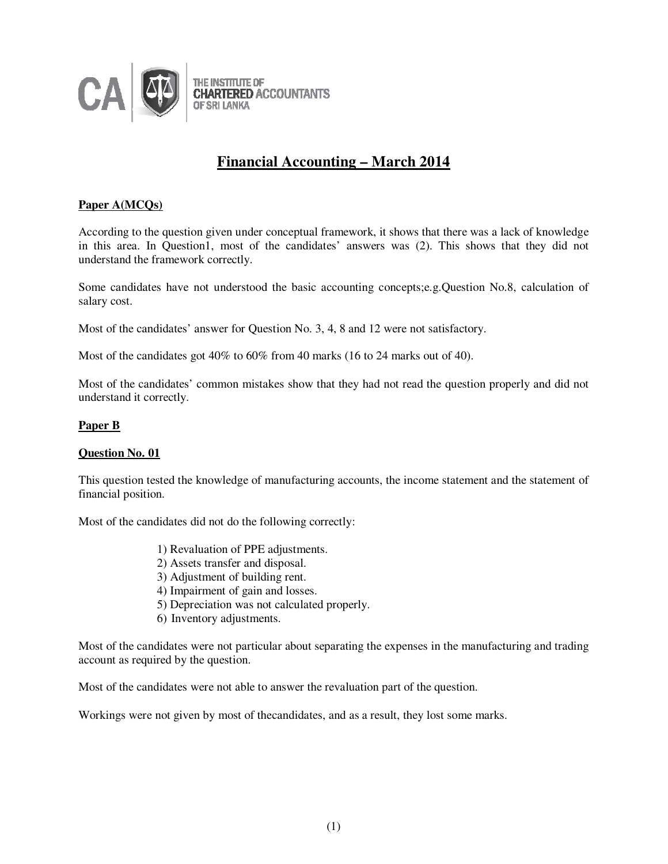

# **Financial Accounting – March 2014**

# **Paper A(MCQs)**

According to the question given under conceptual framework, it shows that there was a lack of knowledge in this area. In Question1, most of the candidates' answers was (2). This shows that they did not understand the framework correctly.

Some candidates have not understood the basic accounting concepts;e.g.Question No.8, calculation of salary cost.

Most of the candidates' answer for Question No. 3, 4, 8 and 12 were not satisfactory.

Most of the candidates got 40% to 60% from 40 marks (16 to 24 marks out of 40).

Most of the candidates' common mistakes show that they had not read the question properly and did not understand it correctly.

#### **Paper B**

#### **Question No. 01**

This question tested the knowledge of manufacturing accounts, the income statement and the statement of financial position.

Most of the candidates did not do the following correctly:

- 1) Revaluation of PPE adjustments.
- 2) Assets transfer and disposal.
- 3) Adjustment of building rent.
- 4) Impairment of gain and losses.
- 5) Depreciation was not calculated properly.
- 6) Inventory adjustments.

Most of the candidates were not particular about separating the expenses in the manufacturing and trading account as required by the question.

Most of the candidates were not able to answer the revaluation part of the question.

Workings were not given by most of thecandidates, and as a result, they lost some marks.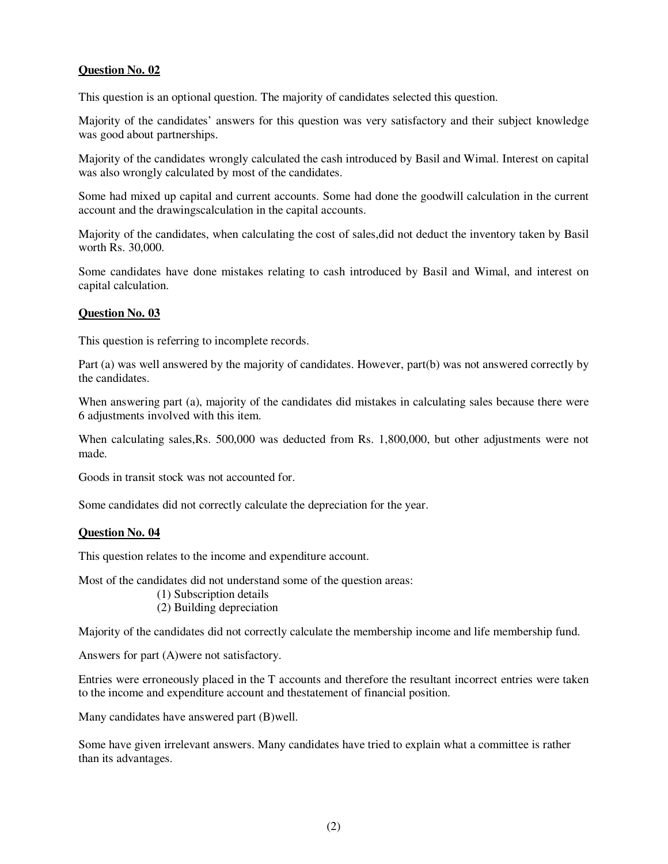This question is an optional question. The majority of candidates selected this question.

Majority of the candidates' answers for this question was very satisfactory and their subject knowledge was good about partnerships.

Majority of the candidates wrongly calculated the cash introduced by Basil and Wimal. Interest on capital was also wrongly calculated by most of the candidates.

Some had mixed up capital and current accounts. Some had done the goodwill calculation in the current account and the drawingscalculation in the capital accounts.

Majority of the candidates, when calculating the cost of sales,did not deduct the inventory taken by Basil worth Rs. 30,000.

Some candidates have done mistakes relating to cash introduced by Basil and Wimal, and interest on capital calculation.

#### **Question No. 03**

This question is referring to incomplete records.

Part (a) was well answered by the majority of candidates. However, part(b) was not answered correctly by the candidates.

When answering part (a), majority of the candidates did mistakes in calculating sales because there were 6 adjustments involved with this item.

When calculating sales,Rs. 500,000 was deducted from Rs. 1,800,000, but other adjustments were not made.

Goods in transit stock was not accounted for.

Some candidates did not correctly calculate the depreciation for the year.

#### **Question No. 04**

This question relates to the income and expenditure account.

Most of the candidates did not understand some of the question areas:

- (1) Subscription details
- (2) Building depreciation

Majority of the candidates did not correctly calculate the membership income and life membership fund.

Answers for part (A)were not satisfactory.

Entries were erroneously placed in the T accounts and therefore the resultant incorrect entries were taken to the income and expenditure account and thestatement of financial position.

Many candidates have answered part (B)well.

Some have given irrelevant answers. Many candidates have tried to explain what a committee is rather than its advantages.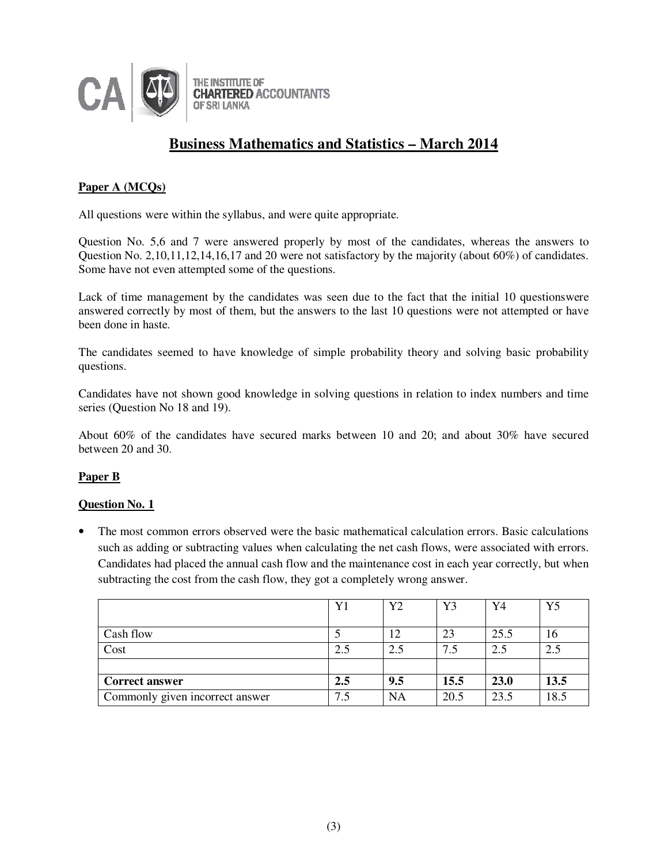

# **Business Mathematics and Statistics – March 2014**

## **Paper A (MCQs)**

All questions were within the syllabus, and were quite appropriate.

Question No. 5,6 and 7 were answered properly by most of the candidates, whereas the answers to Question No. 2,10,11,12,14,16,17 and 20 were not satisfactory by the majority (about  $60\%$ ) of candidates. Some have not even attempted some of the questions.

Lack of time management by the candidates was seen due to the fact that the initial 10 questionswere answered correctly by most of them, but the answers to the last 10 questions were not attempted or have been done in haste.

The candidates seemed to have knowledge of simple probability theory and solving basic probability questions.

Candidates have not shown good knowledge in solving questions in relation to index numbers and time series (Question No 18 and 19).

About 60% of the candidates have secured marks between 10 and 20; and about 30% have secured between 20 and 30.

# **Paper B**

## **Question No. 1**

• The most common errors observed were the basic mathematical calculation errors. Basic calculations such as adding or subtracting values when calculating the net cash flows, were associated with errors. Candidates had placed the annual cash flow and the maintenance cost in each year correctly, but when subtracting the cost from the cash flow, they got a completely wrong answer.

|                                 | Y1  | Y2              | Y3   | Y4   | Y5   |
|---------------------------------|-----|-----------------|------|------|------|
| Cash flow                       |     | $\overline{12}$ | 23   | 25.5 | 16   |
| Cost                            | 2.5 | 2.5             | 7.5  | 2.5  | 2.5  |
|                                 |     |                 |      |      |      |
| <b>Correct answer</b>           | 2.5 | 9.5             | 15.5 | 23.0 | 13.5 |
| Commonly given incorrect answer | 7.5 | NA              | 20.5 | 23.5 | 18.5 |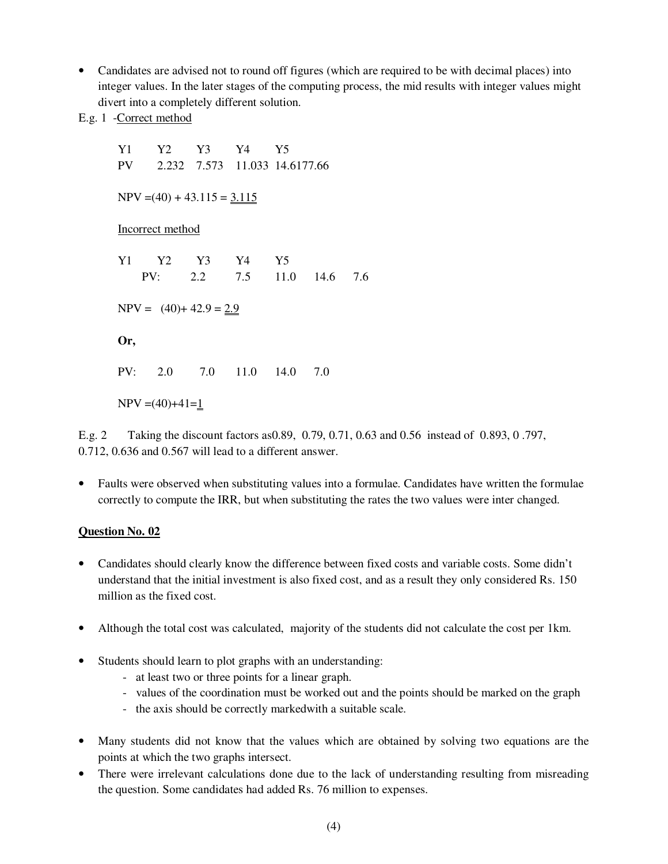• Candidates are advised not to round off figures (which are required to be with decimal places) into integer values. In the later stages of the computing process, the mid results with integer values might divert into a completely different solution.

E.g. 1 -Correct method

Y1 Y2 Y3 Y4 Y5 PV 2.232 7.573 11.033 14.6177.66  $NPV = (40) + 43.115 = 3.115$ Incorrect method Y1 Y2 Y3 Y4 Y5 PV: 2.2 7.5 11.0 14.6 7.6  $NPV = (40) + 42.9 = 2.9$ **Or,**  PV: 2.0 7.0 11.0 14.0 7.0  $NPV = (40)+41=1$ 

E.g. 2 Taking the discount factors as0.89, 0.79, 0.71, 0.63 and 0.56 instead of 0.893, 0 .797, 0.712, 0.636 and 0.567 will lead to a different answer.

• Faults were observed when substituting values into a formulae. Candidates have written the formulae correctly to compute the IRR, but when substituting the rates the two values were inter changed.

## **Question No. 02**

- Candidates should clearly know the difference between fixed costs and variable costs. Some didn't understand that the initial investment is also fixed cost, and as a result they only considered Rs. 150 million as the fixed cost.
- Although the total cost was calculated, majority of the students did not calculate the cost per 1km.
- Students should learn to plot graphs with an understanding:
	- at least two or three points for a linear graph.
	- values of the coordination must be worked out and the points should be marked on the graph
	- the axis should be correctly markedwith a suitable scale.
- Many students did not know that the values which are obtained by solving two equations are the points at which the two graphs intersect.
- There were irrelevant calculations done due to the lack of understanding resulting from misreading the question. Some candidates had added Rs. 76 million to expenses.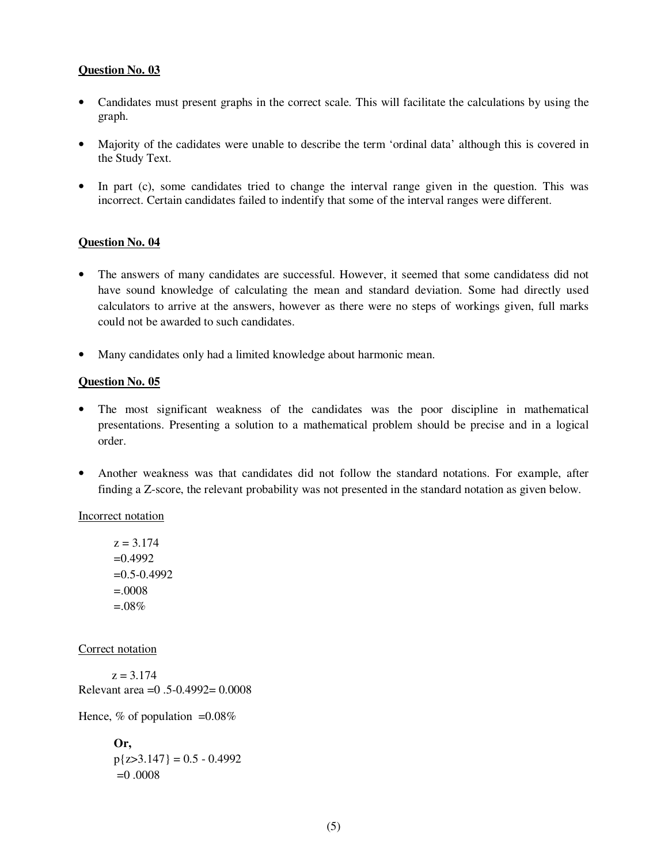- Candidates must present graphs in the correct scale. This will facilitate the calculations by using the graph.
- Majority of the cadidates were unable to describe the term 'ordinal data' although this is covered in the Study Text.
- In part (c), some candidates tried to change the interval range given in the question. This was incorrect. Certain candidates failed to indentify that some of the interval ranges were different.

## **Question No. 04**

- The answers of many candidates are successful. However, it seemed that some candidatess did not have sound knowledge of calculating the mean and standard deviation. Some had directly used calculators to arrive at the answers, however as there were no steps of workings given, full marks could not be awarded to such candidates.
- Many candidates only had a limited knowledge about harmonic mean.

## **Question No. 05**

- The most significant weakness of the candidates was the poor discipline in mathematical presentations. Presenting a solution to a mathematical problem should be precise and in a logical order.
- Another weakness was that candidates did not follow the standard notations. For example, after finding a Z-score, the relevant probability was not presented in the standard notation as given below.

Incorrect notation

 $z = 3.174$  $=0.4992$  $=0.5 - 0.4992$  $=0.0008$  $=0.08\%$ 

Correct notation

 $z = 3.174$ Relevant area =0 .5-0.4992= 0.0008

Hence,  $\%$  of population =0.08%

**Or,**   $p{z>3.147} = 0.5 - 0.4992$  $=0.0008$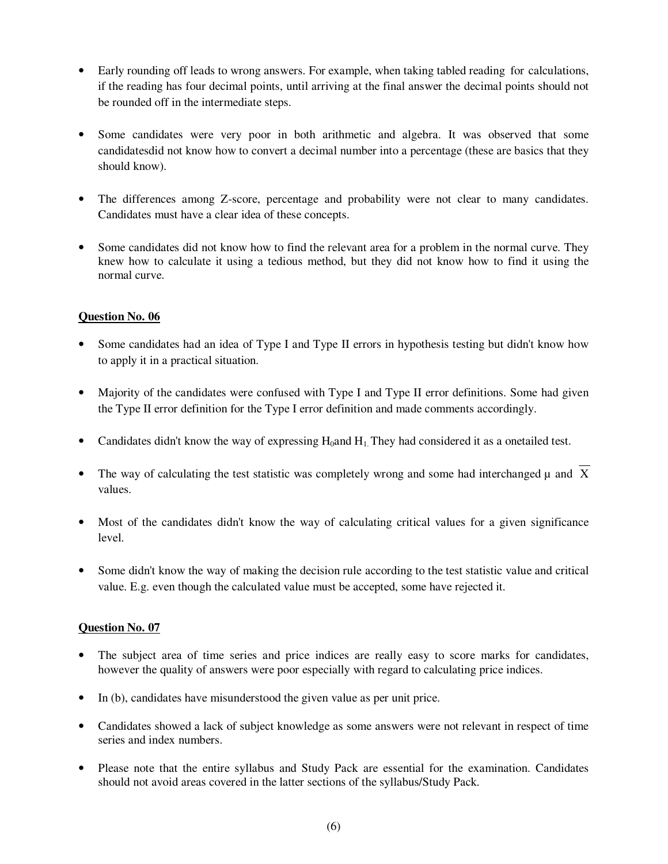- Early rounding off leads to wrong answers. For example, when taking tabled reading for calculations, if the reading has four decimal points, until arriving at the final answer the decimal points should not be rounded off in the intermediate steps.
- Some candidates were very poor in both arithmetic and algebra. It was observed that some candidatesdid not know how to convert a decimal number into a percentage (these are basics that they should know).
- The differences among Z-score, percentage and probability were not clear to many candidates. Candidates must have a clear idea of these concepts.
- Some candidates did not know how to find the relevant area for a problem in the normal curve. They knew how to calculate it using a tedious method, but they did not know how to find it using the normal curve.

- Some candidates had an idea of Type I and Type II errors in hypothesis testing but didn't know how to apply it in a practical situation.
- Majority of the candidates were confused with Type I and Type II error definitions. Some had given the Type II error definition for the Type I error definition and made comments accordingly.
- Candidates didn't know the way of expressing  $H_0$  and  $H_1$ . They had considered it as a onetailed test.
- The way of calculating the test statistic was completely wrong and some had interchanged  $\mu$  and  $\overline{X}$ values.
- Most of the candidates didn't know the way of calculating critical values for a given significance level.
- Some didn't know the way of making the decision rule according to the test statistic value and critical value. E.g. even though the calculated value must be accepted, some have rejected it.

## **Question No. 07**

- The subject area of time series and price indices are really easy to score marks for candidates, however the quality of answers were poor especially with regard to calculating price indices.
- In (b), candidates have misunderstood the given value as per unit price.
- Candidates showed a lack of subject knowledge as some answers were not relevant in respect of time series and index numbers.
- Please note that the entire syllabus and Study Pack are essential for the examination. Candidates should not avoid areas covered in the latter sections of the syllabus/Study Pack.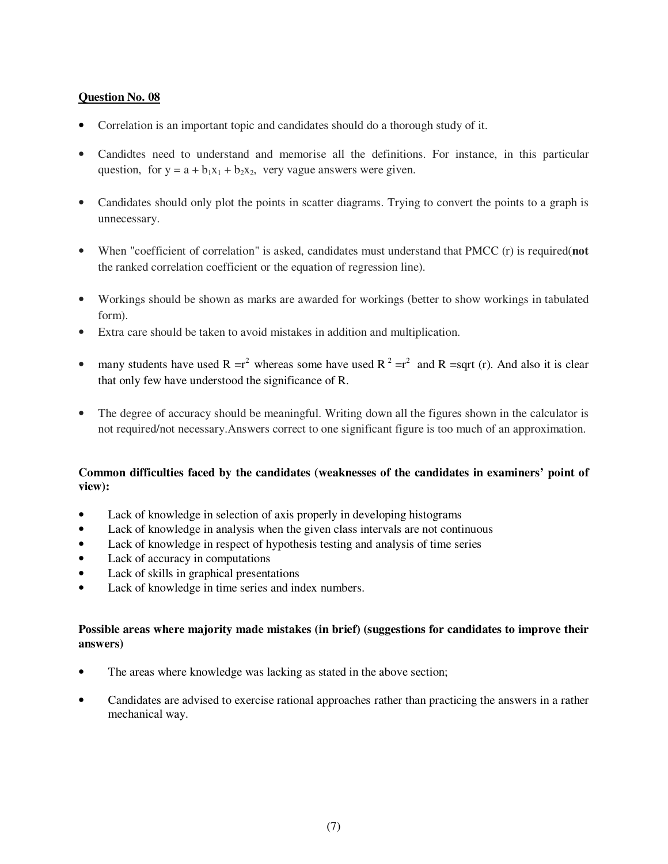- Correlation is an important topic and candidates should do a thorough study of it.
- Candidtes need to understand and memorise all the definitions. For instance, in this particular question, for  $y = a + b_1x_1 + b_2x_2$ , very vague answers were given.
- Candidates should only plot the points in scatter diagrams. Trying to convert the points to a graph is unnecessary.
- When "coefficient of correlation" is asked, candidates must understand that PMCC (r) is required(**not** the ranked correlation coefficient or the equation of regression line).
- Workings should be shown as marks are awarded for workings (better to show workings in tabulated form).
- Extra care should be taken to avoid mistakes in addition and multiplication.
- many students have used R =r<sup>2</sup> whereas some have used R<sup>2</sup> =r<sup>2</sup> and R =sqrt (r). And also it is clear that only few have understood the significance of R.
- The degree of accuracy should be meaningful. Writing down all the figures shown in the calculator is not required/not necessary.Answers correct to one significant figure is too much of an approximation.

## **Common difficulties faced by the candidates (weaknesses of the candidates in examiners' point of view):**

- Lack of knowledge in selection of axis properly in developing histograms
- Lack of knowledge in analysis when the given class intervals are not continuous
- Lack of knowledge in respect of hypothesis testing and analysis of time series
- Lack of accuracy in computations
- Lack of skills in graphical presentations
- Lack of knowledge in time series and index numbers.

## **Possible areas where majority made mistakes (in brief) (suggestions for candidates to improve their answers)**

- The areas where knowledge was lacking as stated in the above section;
- Candidates are advised to exercise rational approaches rather than practicing the answers in a rather mechanical way.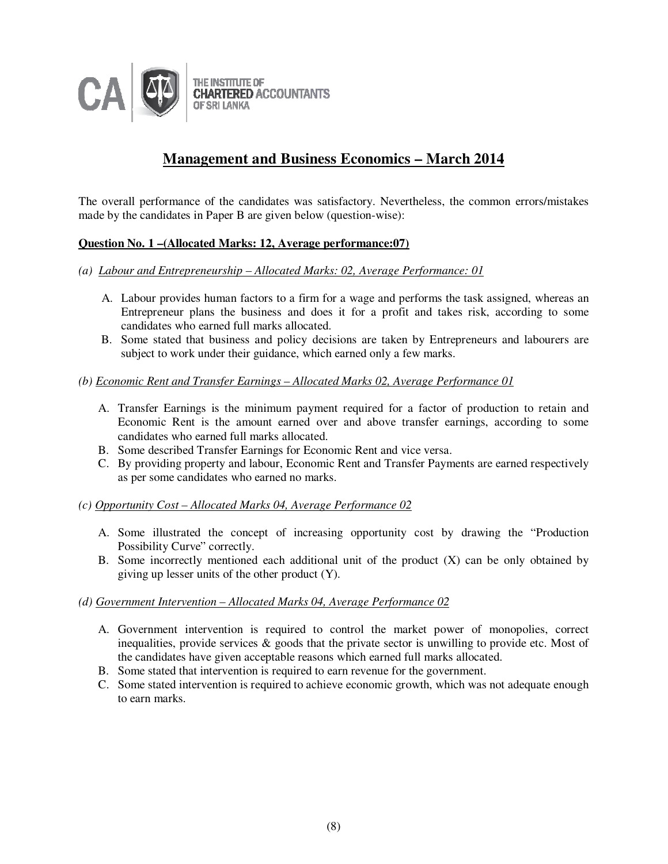

# **Management and Business Economics – March 2014**

The overall performance of the candidates was satisfactory. Nevertheless, the common errors/mistakes made by the candidates in Paper B are given below (question-wise):

## **Question No. 1 –(Allocated Marks: 12, Average performance:07)**

- *(a) Labour and Entrepreneurship Allocated Marks: 02, Average Performance: 01*
	- A. Labour provides human factors to a firm for a wage and performs the task assigned, whereas an Entrepreneur plans the business and does it for a profit and takes risk, according to some candidates who earned full marks allocated.
	- B. Some stated that business and policy decisions are taken by Entrepreneurs and labourers are subject to work under their guidance, which earned only a few marks.

#### *(b) Economic Rent and Transfer Earnings – Allocated Marks 02, Average Performance 01*

- A. Transfer Earnings is the minimum payment required for a factor of production to retain and Economic Rent is the amount earned over and above transfer earnings, according to some candidates who earned full marks allocated.
- B. Some described Transfer Earnings for Economic Rent and vice versa.
- C. By providing property and labour, Economic Rent and Transfer Payments are earned respectively as per some candidates who earned no marks.

## *(c) Opportunity Cost – Allocated Marks 04, Average Performance 02*

- A. Some illustrated the concept of increasing opportunity cost by drawing the "Production Possibility Curve" correctly.
- B. Some incorrectly mentioned each additional unit of the product (X) can be only obtained by giving up lesser units of the other product (Y).

## *(d) Government Intervention – Allocated Marks 04, Average Performance 02*

- A. Government intervention is required to control the market power of monopolies, correct inequalities, provide services  $\&$  goods that the private sector is unwilling to provide etc. Most of the candidates have given acceptable reasons which earned full marks allocated.
- B. Some stated that intervention is required to earn revenue for the government.
- C. Some stated intervention is required to achieve economic growth, which was not adequate enough to earn marks.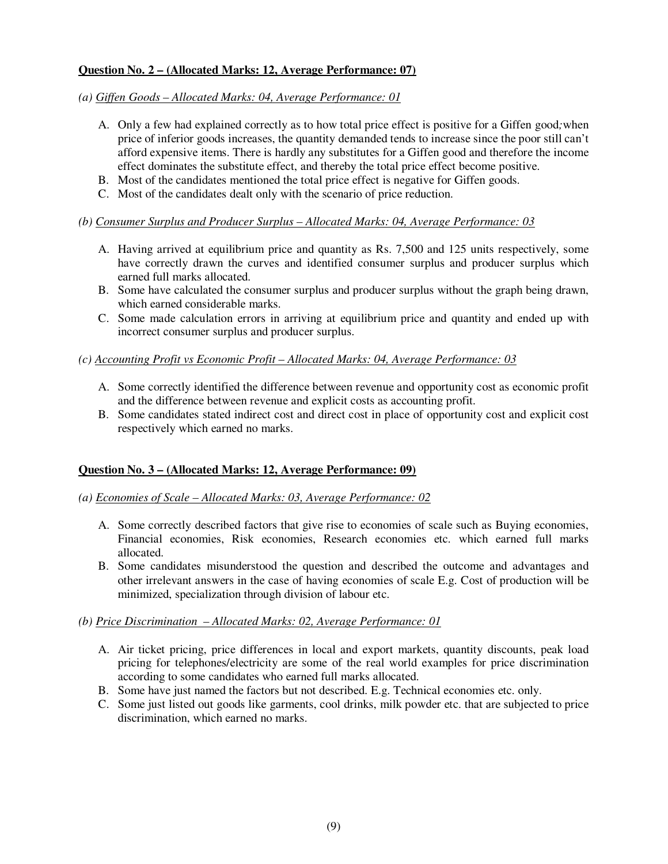# **Question No. 2 – (Allocated Marks: 12, Average Performance: 07)**

#### *(a) Giffen Goods – Allocated Marks: 04, Average Performance: 01*

- A. Only a few had explained correctly as to how total price effect is positive for a Giffen good*;*when price of inferior goods increases, the quantity demanded tends to increase since the poor still can't afford expensive items. There is hardly any substitutes for a Giffen good and therefore the income effect dominates the substitute effect, and thereby the total price effect become positive.
- B. Most of the candidates mentioned the total price effect is negative for Giffen goods.
- C. Most of the candidates dealt only with the scenario of price reduction.

## *(b) Consumer Surplus and Producer Surplus – Allocated Marks: 04, Average Performance: 03*

- A. Having arrived at equilibrium price and quantity as Rs. 7,500 and 125 units respectively, some have correctly drawn the curves and identified consumer surplus and producer surplus which earned full marks allocated.
- B. Some have calculated the consumer surplus and producer surplus without the graph being drawn, which earned considerable marks.
- C. Some made calculation errors in arriving at equilibrium price and quantity and ended up with incorrect consumer surplus and producer surplus.

## *(c) Accounting Profit vs Economic Profit – Allocated Marks: 04, Average Performance: 03*

- A. Some correctly identified the difference between revenue and opportunity cost as economic profit and the difference between revenue and explicit costs as accounting profit.
- B. Some candidates stated indirect cost and direct cost in place of opportunity cost and explicit cost respectively which earned no marks.

## **Question No. 3 – (Allocated Marks: 12, Average Performance: 09)**

## *(a) Economies of Scale – Allocated Marks: 03, Average Performance: 02*

- A. Some correctly described factors that give rise to economies of scale such as Buying economies, Financial economies, Risk economies, Research economies etc. which earned full marks allocated.
- B. Some candidates misunderstood the question and described the outcome and advantages and other irrelevant answers in the case of having economies of scale E.g. Cost of production will be minimized, specialization through division of labour etc.

## *(b) Price Discrimination – Allocated Marks: 02, Average Performance: 01*

- A. Air ticket pricing, price differences in local and export markets, quantity discounts, peak load pricing for telephones/electricity are some of the real world examples for price discrimination according to some candidates who earned full marks allocated.
- B. Some have just named the factors but not described. E.g. Technical economies etc. only.
- C. Some just listed out goods like garments, cool drinks, milk powder etc. that are subjected to price discrimination, which earned no marks.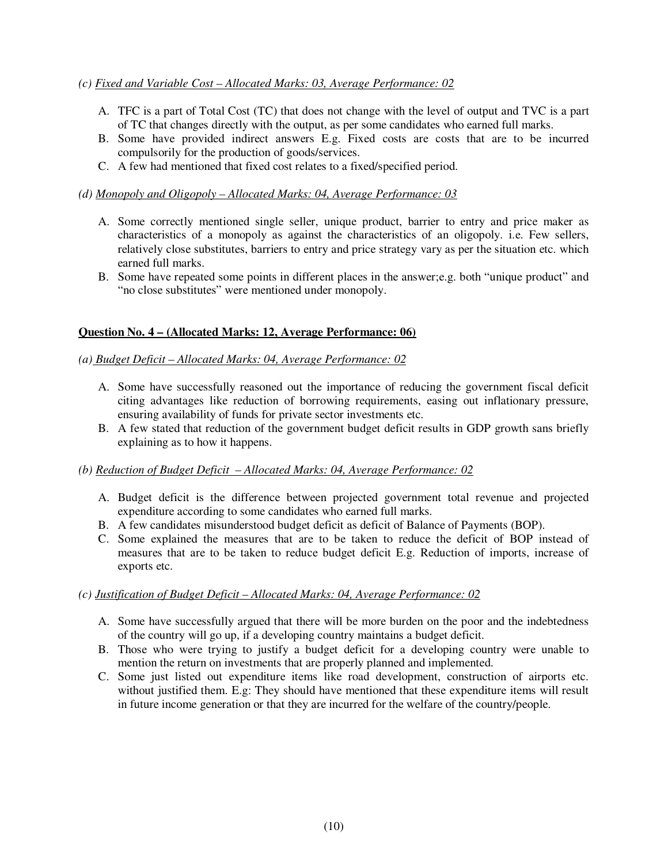## *(c) Fixed and Variable Cost – Allocated Marks: 03, Average Performance: 02*

- A. TFC is a part of Total Cost (TC) that does not change with the level of output and TVC is a part of TC that changes directly with the output, as per some candidates who earned full marks.
- B. Some have provided indirect answers E.g. Fixed costs are costs that are to be incurred compulsorily for the production of goods/services.
- C. A few had mentioned that fixed cost relates to a fixed/specified period.

## *(d) Monopoly and Oligopoly – Allocated Marks: 04, Average Performance: 03*

- A. Some correctly mentioned single seller, unique product, barrier to entry and price maker as characteristics of a monopoly as against the characteristics of an oligopoly. i.e. Few sellers, relatively close substitutes, barriers to entry and price strategy vary as per the situation etc. which earned full marks.
- B. Some have repeated some points in different places in the answer;e.g. both "unique product" and "no close substitutes" were mentioned under monopoly.

## **Question No. 4 – (Allocated Marks: 12, Average Performance: 06)**

#### *(a) Budget Deficit – Allocated Marks: 04, Average Performance: 02*

- A. Some have successfully reasoned out the importance of reducing the government fiscal deficit citing advantages like reduction of borrowing requirements, easing out inflationary pressure, ensuring availability of funds for private sector investments etc.
- B. A few stated that reduction of the government budget deficit results in GDP growth sans briefly explaining as to how it happens.

## *(b) Reduction of Budget Deficit – Allocated Marks: 04, Average Performance: 02*

- A. Budget deficit is the difference between projected government total revenue and projected expenditure according to some candidates who earned full marks.
- B. A few candidates misunderstood budget deficit as deficit of Balance of Payments (BOP).
- C. Some explained the measures that are to be taken to reduce the deficit of BOP instead of measures that are to be taken to reduce budget deficit E.g. Reduction of imports, increase of exports etc.

## *(c) Justification of Budget Deficit – Allocated Marks: 04, Average Performance: 02*

- A. Some have successfully argued that there will be more burden on the poor and the indebtedness of the country will go up, if a developing country maintains a budget deficit.
- B. Those who were trying to justify a budget deficit for a developing country were unable to mention the return on investments that are properly planned and implemented.
- C. Some just listed out expenditure items like road development, construction of airports etc. without justified them. E.g: They should have mentioned that these expenditure items will result in future income generation or that they are incurred for the welfare of the country/people.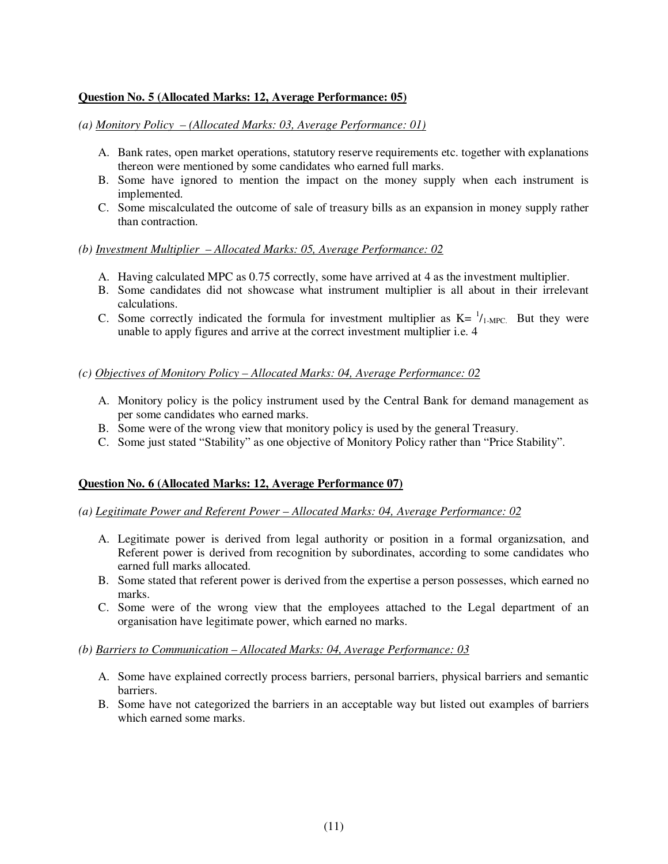## **Question No. 5 (Allocated Marks: 12, Average Performance: 05)**

*(a) Monitory Policy – (Allocated Marks: 03, Average Performance: 01)*

- A. Bank rates, open market operations, statutory reserve requirements etc. together with explanations thereon were mentioned by some candidates who earned full marks.
- B. Some have ignored to mention the impact on the money supply when each instrument is implemented.
- C. Some miscalculated the outcome of sale of treasury bills as an expansion in money supply rather than contraction.

#### *(b) Investment Multiplier – Allocated Marks: 05, Average Performance: 02*

- A. Having calculated MPC as 0.75 correctly, some have arrived at 4 as the investment multiplier.
- B. Some candidates did not showcase what instrument multiplier is all about in their irrelevant calculations.
- C. Some correctly indicated the formula for investment multiplier as  $K = \frac{1}{1-MPC}$ . But they were unable to apply figures and arrive at the correct investment multiplier i.e. 4

#### *(c) Objectives of Monitory Policy – Allocated Marks: 04, Average Performance: 02*

- A. Monitory policy is the policy instrument used by the Central Bank for demand management as per some candidates who earned marks.
- B. Some were of the wrong view that monitory policy is used by the general Treasury.
- C. Some just stated "Stability" as one objective of Monitory Policy rather than "Price Stability".

## **Question No. 6 (Allocated Marks: 12, Average Performance 07)**

- *(a) Legitimate Power and Referent Power Allocated Marks: 04, Average Performance: 02*
	- A. Legitimate power is derived from legal authority or position in a formal organizsation, and Referent power is derived from recognition by subordinates, according to some candidates who earned full marks allocated.
	- B. Some stated that referent power is derived from the expertise a person possesses, which earned no marks.
	- C. Some were of the wrong view that the employees attached to the Legal department of an organisation have legitimate power, which earned no marks.

#### *(b) Barriers to Communication – Allocated Marks: 04, Average Performance: 03*

- A. Some have explained correctly process barriers, personal barriers, physical barriers and semantic barriers.
- B. Some have not categorized the barriers in an acceptable way but listed out examples of barriers which earned some marks.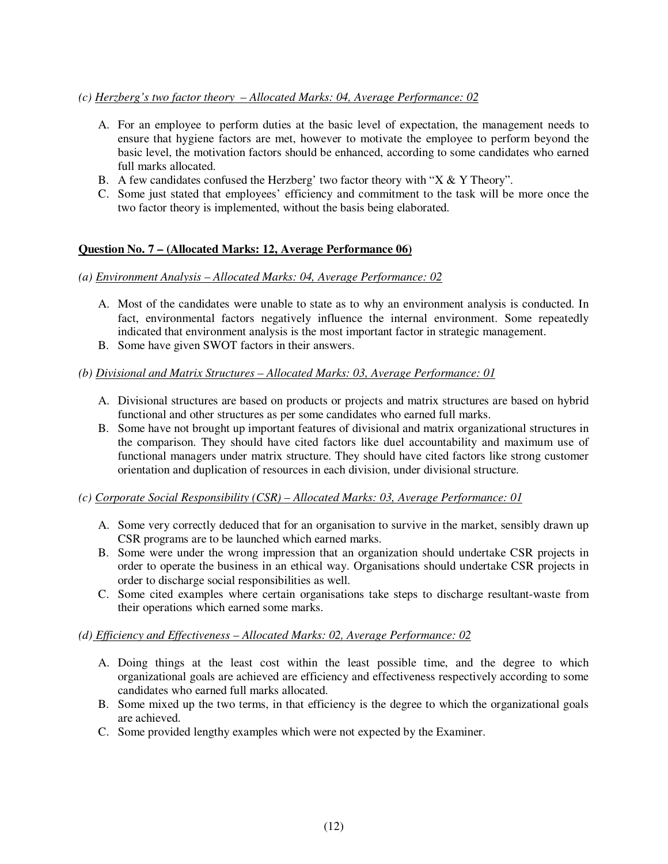## *(c) Herzberg's two factor theory – Allocated Marks: 04, Average Performance: 02*

- A. For an employee to perform duties at the basic level of expectation, the management needs to ensure that hygiene factors are met, however to motivate the employee to perform beyond the basic level, the motivation factors should be enhanced, according to some candidates who earned full marks allocated.
- B. A few candidates confused the Herzberg' two factor theory with " $X & Y$  Theory".
- C. Some just stated that employees' efficiency and commitment to the task will be more once the two factor theory is implemented, without the basis being elaborated.

# **Question No. 7 – (Allocated Marks: 12, Average Performance 06)**

## *(a) Environment Analysis – Allocated Marks: 04, Average Performance: 02*

- A. Most of the candidates were unable to state as to why an environment analysis is conducted. In fact, environmental factors negatively influence the internal environment. Some repeatedly indicated that environment analysis is the most important factor in strategic management.
- B. Some have given SWOT factors in their answers.

## *(b) Divisional and Matrix Structures – Allocated Marks: 03, Average Performance: 01*

- A. Divisional structures are based on products or projects and matrix structures are based on hybrid functional and other structures as per some candidates who earned full marks.
- B. Some have not brought up important features of divisional and matrix organizational structures in the comparison. They should have cited factors like duel accountability and maximum use of functional managers under matrix structure. They should have cited factors like strong customer orientation and duplication of resources in each division, under divisional structure.

## *(c) Corporate Social Responsibility (CSR) – Allocated Marks: 03, Average Performance: 01*

- A. Some very correctly deduced that for an organisation to survive in the market, sensibly drawn up CSR programs are to be launched which earned marks.
- B. Some were under the wrong impression that an organization should undertake CSR projects in order to operate the business in an ethical way. Organisations should undertake CSR projects in order to discharge social responsibilities as well.
- C. Some cited examples where certain organisations take steps to discharge resultant-waste from their operations which earned some marks.

## *(d) Efficiency and Effectiveness – Allocated Marks: 02, Average Performance: 02*

- A. Doing things at the least cost within the least possible time, and the degree to which organizational goals are achieved are efficiency and effectiveness respectively according to some candidates who earned full marks allocated.
- B. Some mixed up the two terms, in that efficiency is the degree to which the organizational goals are achieved.
- C. Some provided lengthy examples which were not expected by the Examiner.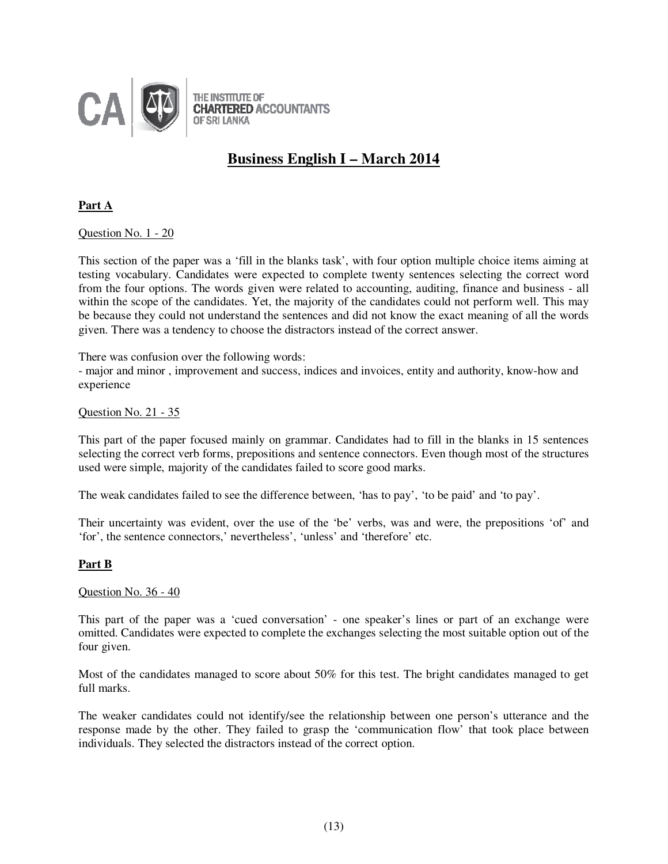

# **Business English I – March 2014**

**Part A**

Question No. 1 - 20

This section of the paper was a 'fill in the blanks task', with four option multiple choice items aiming at testing vocabulary. Candidates were expected to complete twenty sentences selecting the correct word from the four options. The words given were related to accounting, auditing, finance and business - all within the scope of the candidates. Yet, the majority of the candidates could not perform well. This may be because they could not understand the sentences and did not know the exact meaning of all the words given. There was a tendency to choose the distractors instead of the correct answer.

There was confusion over the following words:

- major and minor , improvement and success, indices and invoices, entity and authority, know-how and experience

Question No. 21 - 35

This part of the paper focused mainly on grammar. Candidates had to fill in the blanks in 15 sentences selecting the correct verb forms, prepositions and sentence connectors. Even though most of the structures used were simple, majority of the candidates failed to score good marks.

The weak candidates failed to see the difference between, 'has to pay', 'to be paid' and 'to pay'.

Their uncertainty was evident, over the use of the 'be' verbs, was and were, the prepositions 'of' and 'for', the sentence connectors,' nevertheless', 'unless' and 'therefore' etc.

## **Part B**

Question No. 36 - 40

This part of the paper was a 'cued conversation' - one speaker's lines or part of an exchange were omitted. Candidates were expected to complete the exchanges selecting the most suitable option out of the four given.

Most of the candidates managed to score about 50% for this test. The bright candidates managed to get full marks.

The weaker candidates could not identify/see the relationship between one person's utterance and the response made by the other. They failed to grasp the 'communication flow' that took place between individuals. They selected the distractors instead of the correct option.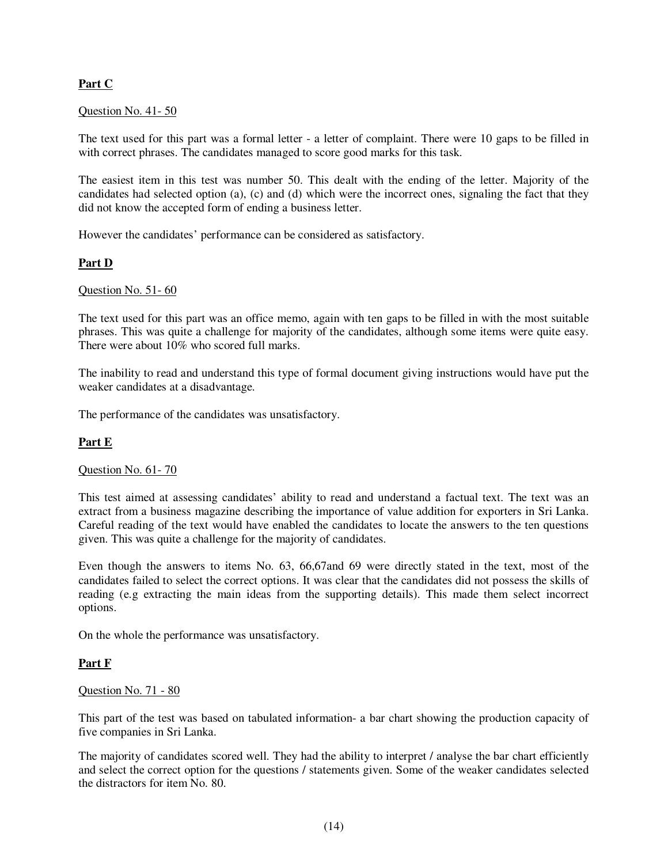# **Part C**

## Question No. 41- 50

The text used for this part was a formal letter - a letter of complaint. There were 10 gaps to be filled in with correct phrases. The candidates managed to score good marks for this task.

The easiest item in this test was number 50. This dealt with the ending of the letter. Majority of the candidates had selected option (a), (c) and (d) which were the incorrect ones, signaling the fact that they did not know the accepted form of ending a business letter.

However the candidates' performance can be considered as satisfactory.

# **Part D**

## Question No. 51- 60

The text used for this part was an office memo, again with ten gaps to be filled in with the most suitable phrases. This was quite a challenge for majority of the candidates, although some items were quite easy. There were about 10% who scored full marks.

The inability to read and understand this type of formal document giving instructions would have put the weaker candidates at a disadvantage.

The performance of the candidates was unsatisfactory.

# **Part E**

## Question No. 61- 70

This test aimed at assessing candidates' ability to read and understand a factual text. The text was an extract from a business magazine describing the importance of value addition for exporters in Sri Lanka. Careful reading of the text would have enabled the candidates to locate the answers to the ten questions given. This was quite a challenge for the majority of candidates.

Even though the answers to items No. 63, 66,67and 69 were directly stated in the text, most of the candidates failed to select the correct options. It was clear that the candidates did not possess the skills of reading (e.g extracting the main ideas from the supporting details). This made them select incorrect options.

On the whole the performance was unsatisfactory.

## **Part F**

## Question No. 71 - 80

This part of the test was based on tabulated information- a bar chart showing the production capacity of five companies in Sri Lanka.

The majority of candidates scored well. They had the ability to interpret / analyse the bar chart efficiently and select the correct option for the questions / statements given. Some of the weaker candidates selected the distractors for item No. 80.